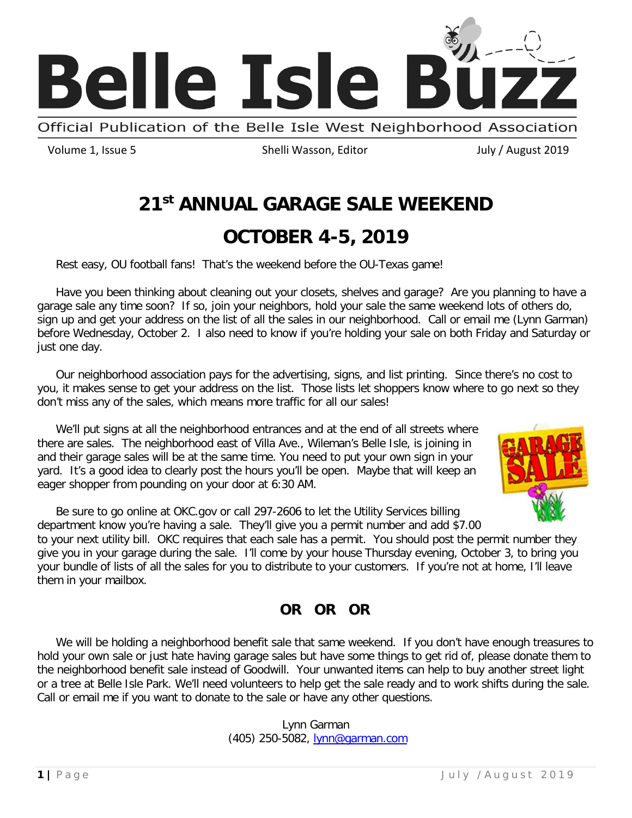

Official Publication of the Belle Isle West Neighborhood Association

Volume 1, Issue 5 Shelli Wasson, Editor Guidean Huly / August 2019

# **21st ANNUAL GARAGE SALE WEEKEND**

# **OCTOBER 4-5, 2019**

Rest easy, OU football fans! That's the weekend before the OU-Texas game!

Have you been thinking about cleaning out your closets, shelves and garage? Are you planning to have a garage sale any time soon? If so, join your neighbors, hold your sale the same weekend lots of others do, sign up and get your address on the list of all the sales in our neighborhood. Call or email me (Lynn Garman) before Wednesday, October 2. I also need to know if you're holding your sale on both Friday and Saturday or just one day.

Our neighborhood association pays for the advertising, signs, and list printing. Since there's no cost to you, it makes sense to get your address on the list. Those lists let shoppers know where to go next so they don't miss any of the sales, which means more traffic for all our sales!

We'll put signs at all the neighborhood entrances and at the end of all streets where there are sales. The neighborhood east of Villa Ave., Wileman's Belle Isle, is joining in and their garage sales will be at the same time. You need to put your own sign in your yard. It's a good idea to clearly post the hours you'll be open. Maybe that will keep an eager shopper from pounding on your door at 6:30 AM.



Be sure to go online at OKC.gov or call 297-2606 to let the Utility Services billing department know you're having a sale. They'll give you a permit number and add \$7.00

to your next utility bill. OKC requires that each sale has a permit. You should post the permit number they give you in your garage during the sale. I'll come by your house Thursday evening, October 3, to bring you your bundle of lists of all the sales for you to distribute to your customers. If you're not at home, I'll leave them in your mailbox.

### **OR OR OR**

We will be holding a neighborhood benefit sale that same weekend. If you don't have enough treasures to hold your own sale or just hate having garage sales but have some things to get rid of, please donate them to the neighborhood benefit sale instead of Goodwill. Your unwanted items can help to buy another street light or a tree at Belle Isle Park. We'll need volunteers to help get the sale ready and to work shifts during the sale. Call or email me if you want to donate to the sale or have any other questions.

> Lynn Garman (405) 250-5082, [lynn@garman.com](mailto:lynn@garman.com)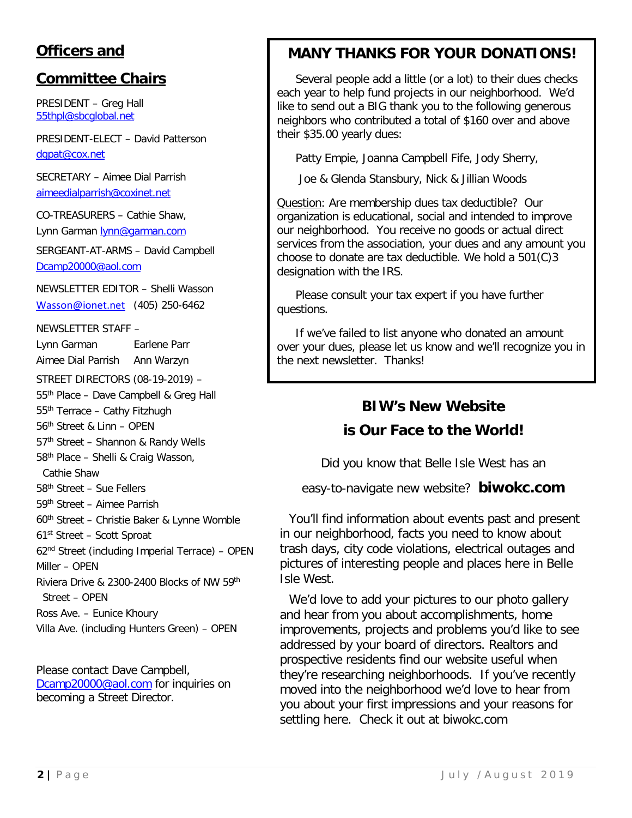## **Officers and**

### **Committee Chairs**

PRESIDENT – Greg Hall [55thpl@sbcglobal.net](mailto:55thpl@sbcglobal.net)

PRESIDENT-ELECT – David Patterson [dgpat@cox.net](mailto:dgpat@cox.net)

SECRETARY – Aimee Dial Parrish [aimeedialparrish@coxinet.net](mailto:aimeedialparrish@coxinet.net)

CO-TREASURERS – Cathie Shaw, Lynn Garman [lynn@garman.com](mailto:lynn@garman.com)

SERGEANT-AT-ARMS – David Campbell [Dcamp20000@aol.com](mailto:Dcamp20000@aol.com)

NEWSLETTER EDITOR – Shelli Wasson [Wasson@ionet.net](mailto:Wasson@ionet.net) (405) 250-6462

NEWSLETTER STAFF –

Lynn Garman Earlene Parr Aimee Dial Parrish Ann Warzyn STREET DIRECTORS (08-19-2019) – 55th Place – Dave Campbell & Greg Hall 55th Terrace – Cathy Fitzhugh 56th Street & Linn – OPEN 57<sup>th</sup> Street - Shannon & Randy Wells 58th Place – Shelli & Craig Wasson, Cathie Shaw 58th Street – Sue Fellers 59th Street – Aimee Parrish 60th Street – Christie Baker & Lynne Womble 61st Street – Scott Sproat 62nd Street (including Imperial Terrace) – OPEN Miller – OPEN Riviera Drive & 2300-2400 Blocks of NW 59th Street – OPEN Ross Ave. – Eunice Khoury Villa Ave. (including Hunters Green) – OPEN

Please contact Dave Campbell, [Dcamp20000@aol.com](mailto:Dcamp20000@aol.com) for inquiries on becoming a Street Director.

# **MANY THANKS FOR YOUR DONATIONS!**

Several people add a little (or a lot) to their dues checks each year to help fund projects in our neighborhood. We'd like to send out a BIG thank you to the following generous neighbors who contributed a total of \$160 over and above their \$35.00 yearly dues:

Patty Empie, Joanna Campbell Fife, Jody Sherry,

Joe & Glenda Stansbury, Nick & Jillian Woods

Question: Are membership dues tax deductible? Our organization is educational, social and intended to improve our neighborhood. You receive no goods or actual direct services from the association, your dues and any amount you choose to donate are tax deductible. We hold a 501(C)3 designation with the IRS.

Please consult your tax expert if you have further questions.

If we've failed to list anyone who donated an amount over your dues, please let us know and we'll recognize you in the next newsletter. Thanks!

# **BIW's New Website**

### **is Our Face to the World!**

Did you know that Belle Isle West has an

easy-to-navigate new website? **biwokc.com**

You'll find information about events past and present in our neighborhood, facts you need to know about trash days, city code violations, electrical outages and pictures of interesting people and places here in Belle Isle West.

We'd love to add your pictures to our photo gallery and hear from you about accomplishments, home improvements, projects and problems you'd like to see addressed by your board of directors. Realtors and prospective residents find our website useful when they're researching neighborhoods. If you've recently moved into the neighborhood we'd love to hear from you about your first impressions and your reasons for settling here. Check it out at biwokc.com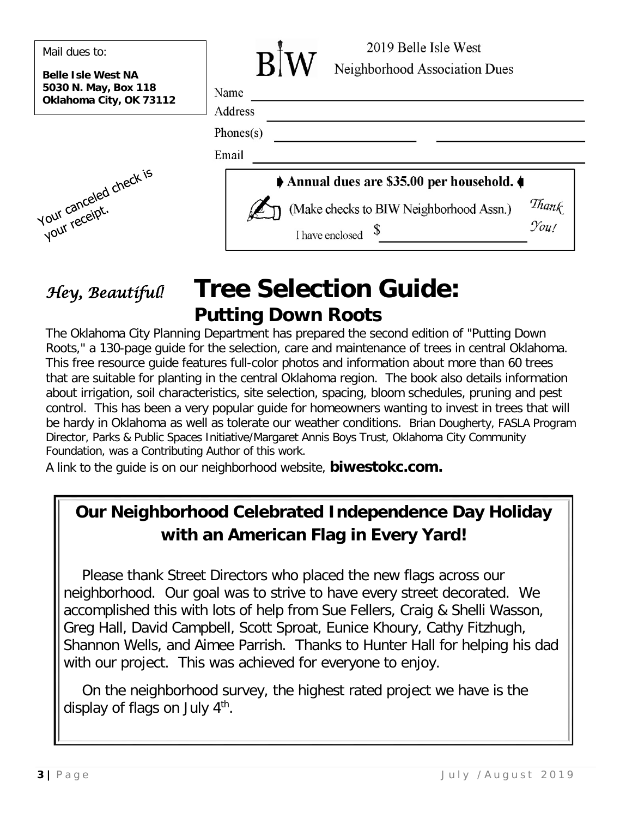| Mail dues to:<br><b>Belle Isle West NA</b>      | 2019 Belle Isle West<br>Neighborhood Association Dues                             |
|-------------------------------------------------|-----------------------------------------------------------------------------------|
| 5030 N. May, Box 118<br>Oklahoma City, OK 73112 | Name<br>Address                                                                   |
|                                                 | Phones $(s)$<br>Email                                                             |
|                                                 | Annual dues are \$35.00 per household.                                            |
| vul canceled check is                           | Thank<br>(Make checks to BIW Neighborhood Assn.)<br>You!<br>\$<br>I have enclosed |

# *Hey, Beautiful!* **Tree Selection Guide: Putting Down Roots**

The Oklahoma City Planning Department has prepared the second edition of "Putting Down Roots," a 130-page guide for the selection, care and maintenance of trees in central Oklahoma. This free resource guide features full-color photos and information about more than 60 trees that are suitable for planting in the central Oklahoma region. The book also details information about irrigation, soil characteristics, site selection, spacing, bloom schedules, pruning and pest control. This has been a very popular guide for homeowners wanting to invest in trees that will be hardy in Oklahoma as well as tolerate our weather conditions. Brian Dougherty, FASLA Program Director, Parks & Public Spaces Initiative/Margaret Annis Boys Trust, Oklahoma City Community Foundation, was a Contributing Author of this work.

A link to the guide is on our neighborhood website, **biwestokc.com.** 

# **Our Neighborhood Celebrated Independence Day Holiday with an American Flag in Every Yard!**

Please thank Street Directors who placed the new flags across our neighborhood. Our goal was to strive to have every street decorated. We accomplished this with lots of help from Sue Fellers, Craig & Shelli Wasson, Greg Hall, David Campbell, Scott Sproat, Eunice Khoury, Cathy Fitzhugh, Shannon Wells, and Aimee Parrish. Thanks to Hunter Hall for helping his dad with our project. This was achieved for everyone to enjoy.

On the neighborhood survey, the highest rated project we have is the display of flags on July 4<sup>th</sup>.